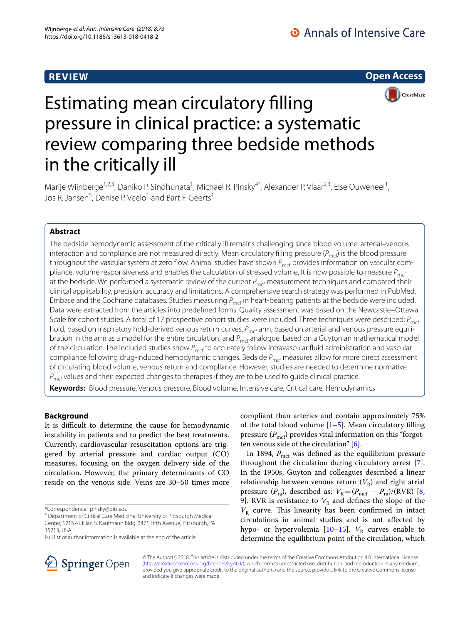# **REVIEW**

**Open Access**



# Estimating mean circulatory flling pressure in clinical practice: a systematic review comparing three bedside methods in the critically ill

Marije Wijnberge<sup>1,2,3</sup>, Daniko P. Sindhunata<sup>1</sup>, Michael R. Pinsky<sup>4\*</sup>, Alexander P. Vlaar<sup>2,3</sup>, Else Ouweneel<sup>1</sup>, Jos R. Jansen<sup>5</sup>, Denise P. Veelo<sup>1</sup> and Bart F. Geerts<sup>1</sup>

# **Abstract**

The bedside hemodynamic assessment of the critically ill remains challenging since blood volume, arterial–venous interaction and compliance are not measured directly. Mean circulatory filling pressure ( $P_{\text{mcf}}$ ) is the blood pressure throughout the vascular system at zero flow. Animal studies have shown *P<sub>mcf</sub>* provides information on vascular compliance, volume responsiveness and enables the calculation of stressed volume. It is now possible to measure  $P_{\text{mcf}}$ at the bedside. We performed a systematic review of the current *P<sub>mcf</sub>* measurement techniques and compared their clinical applicability, precision, accuracy and limitations. A comprehensive search strategy was performed in PubMed, Embase and the Cochrane databases. Studies measuring  $P_{\text{mcf}}$  in heart-beating patients at the bedside were included. Data were extracted from the articles into predefned forms. Quality assessment was based on the Newcastle–Ottawa Scale for cohort studies. A total of 17 prospective cohort studies were included. Three techniques were described:  $P_{\text{mrf}}$ hold, based on inspiratory hold-derived venous return curves,  $P_{\text{mcf}}$  arm, based on arterial and venous pressure equilibration in the arm as a model for the entire circulation, and P<sub>mcf</sub> analogue, based on a Guytonian mathematical model of the circulation. The included studies show P<sub>mcf</sub> to accurately follow intravascular fluid administration and vascular compliance following drug-induced hemodynamic changes. Bedside *P<sub>mcf</sub>* measures allow for more direct assessment of circulating blood volume, venous return and compliance. However, studies are needed to determine normative *P<sub>mcf</sub>* values and their expected changes to therapies if they are to be used to guide clinical practice.

**Keywords:** Blood pressure, Venous pressure, Blood volume, Intensive care, Critical care, Hemodynamics

# **Background**

It is difficult to determine the cause for hemodynamic instability in patients and to predict the best treatments. Currently, cardiovascular resuscitation options are triggered by arterial pressure and cardiac output (CO) measures, focusing on the oxygen delivery side of the circulation. However, the primary determinants of CO reside on the venous side. Veins are 30–50 times more

Full list of author information is available at the end of the article

compliant than arteries and contain approximately 75% of the total blood volume  $[1-5]$  $[1-5]$ . Mean circulatory filling pressure  $(P_{\text{mcf}})$  provides vital information on this "forgotten venous side of the circulation" [\[6](#page-10-2)].

In 1894,  $P_{\text{mcf}}$  was defined as the equilibrium pressure throughout the circulation during circulatory arrest [\[7](#page-10-3)]. In the 1950s, Guyton and colleagues described a linear relationship between venous return  $(V_R)$  and right atrial pressure  $(P_{ra})$ , described as:  $V_R=(P_{mcf} - P_{ra})/(RVR)$  [\[8](#page-10-4), [9\]](#page-10-5). RVR is resistance to  $V_R$  and defines the slope of the  $V_R$  curve. This linearity has been confirmed in intact circulations in animal studies and is not afected by hypo- or hypervolemia  $[10-15]$  $[10-15]$  $[10-15]$ .  $V_R$  curves enable to determine the equilibrium point of the circulation, which



© The Author(s) 2018. This article is distributed under the terms of the Creative Commons Attribution 4.0 International License [\(http://creativecommons.org/licenses/by/4.0/\)](http://creativecommons.org/licenses/by/4.0/), which permits unrestricted use, distribution, and reproduction in any medium, provided you give appropriate credit to the original author(s) and the source, provide a link to the Creative Commons license, and indicate if changes were made.

<sup>\*</sup>Correspondence: pinsky@pitt.edu

<sup>&</sup>lt;sup>4</sup> Department of Critical Care Medicine, University of Pittsburgh Medical Center, 1215.4 Lillian S. Kaufmann Bldg, 3471 Fifth Avenue, Pittsburgh, PA 15213, USA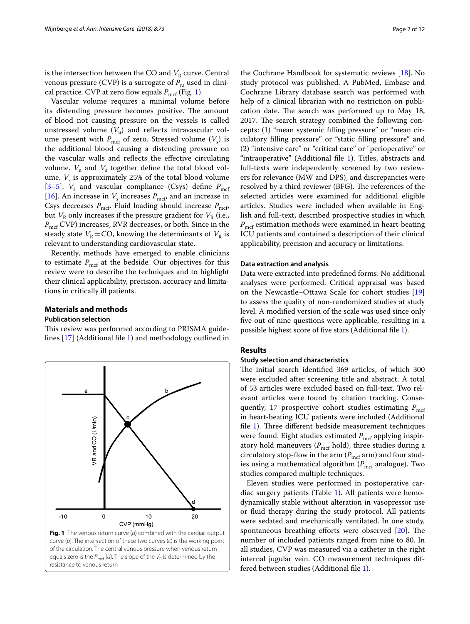is the intersection between the CO and  $V<sub>R</sub>$  curve. Central venous pressure (CVP) is a surrogate of  $P_{r_a}$  used in clinical practice. CVP at zero flow equals  $P_{\text{mcf}}$  (Fig. [1\)](#page-1-0).

Vascular volume requires a minimal volume before its distending pressure becomes positive. The amount of blood not causing pressure on the vessels is called unstressed volume  $(V_u)$  and reflects intravascular volume present with  $P_{\text{mcf}}$  of zero. Stressed volume  $(V_s)$  is the additional blood causing a distending pressure on the vascular walls and reflects the effective circulating volume.  $V_{\text{u}}$  and  $V_{\text{s}}$  together define the total blood volume.  $V_s$  is approximately 25% of the total blood volume [3-[5\]](#page-10-1).  $V_s$  and vascular compliance (Csys) define  $P_{\text{mcf}}$ [[16\]](#page-10-9). An increase in  $V_s$  increases  $P_{\text{mcf}}$ , and an increase in Csys decreases  $P_{\text{mcf}}$ . Fluid loading should increase  $P_{\text{mcf}}$ , but  $V_R$  only increases if the pressure gradient for  $V_R$  (i.e., *P*<sub>mcf</sub> CVP) increases, RVR decreases, or both. Since in the steady state  $V_R$ =CO, knowing the determinants of  $V_R$  is relevant to understanding cardiovascular state.

Recently, methods have emerged to enable clinicians to estimate  $P_{\text{mcf}}$  at the bedside. Our objectives for this review were to describe the techniques and to highlight their clinical applicability, precision, accuracy and limitations in critically ill patients.

## **Materials and methods Publication selection**

<span id="page-1-0"></span>resistance to venous return

This review was performed according to PRISMA guidelines [\[17](#page-10-10)] (Additional fle [1\)](#page-9-0) and methodology outlined in



the Cochrane Handbook for systematic reviews [[18\]](#page-10-11). No study protocol was published. A PubMed, Embase and Cochrane Library database search was performed with help of a clinical librarian with no restriction on publication date. The search was performed up to May 18, 2017. The search strategy combined the following concepts: (1) "mean systemic flling pressure" or "mean circulatory flling pressure" or "static flling pressure" and (2) "intensive care" or "critical care" or "perioperative" or "intraoperative" (Additional file [1\)](#page-9-0). Titles, abstracts and full-texts were independently screened by two reviewers for relevance (MW and DPS), and discrepancies were resolved by a third reviewer (BFG). The references of the selected articles were examined for additional eligible articles. Studies were included when available in English and full-text, described prospective studies in which *P*<sub>mcf</sub> estimation methods were examined in heart-beating ICU patients and contained a description of their clinical applicability, precision and accuracy or limitations.

#### **Data extraction and analysis**

Data were extracted into predefned forms. No additional analyses were performed. Critical appraisal was based on the Newcastle–Ottawa Scale for cohort studies [[19](#page-10-12)] to assess the quality of non-randomized studies at study level. A modifed version of the scale was used since only fve out of nine questions were applicable, resulting in a possible highest score of fve stars (Additional fle [1](#page-9-0)).

#### **Results**

# **Study selection and characteristics**

The initial search identified 369 articles, of which 300 were excluded after screening title and abstract. A total of 53 articles were excluded based on full-text. Two relevant articles were found by citation tracking. Consequently, 17 prospective cohort studies estimating  $P_{\text{mcf}}$ in heart-beating ICU patients were included (Additional file  $1$ ). Three different bedside measurement techniques were found. Eight studies estimated  $P_{\text{mcf}}$  applying inspiratory hold maneuvers ( $P_{\text{mcf}}$  hold), three studies during a circulatory stop-flow in the arm  $(P_{\text{mcf}}$  arm) and four studies using a mathematical algorithm ( $P<sub>mcf</sub>$  analogue). Two studies compared multiple techniques.

Eleven studies were performed in postoperative cardiac surgery patients (Table [1\)](#page-2-0). All patients were hemodynamically stable without alteration in vasopressor use or fuid therapy during the study protocol. All patients were sedated and mechanically ventilated. In one study, spontaneous breathing efforts were observed  $[20]$  $[20]$  $[20]$ . The number of included patients ranged from nine to 80. In all studies, CVP was measured via a catheter in the right internal jugular vein. CO measurement techniques differed between studies (Additional fle [1](#page-9-0)).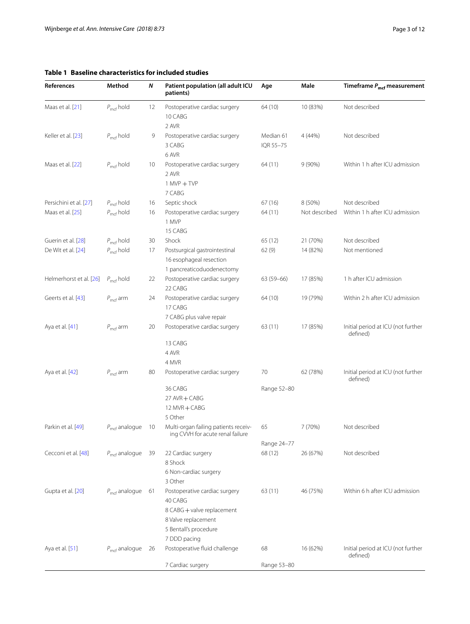# <span id="page-2-0"></span>**Table 1 Baseline characteristics for included studies**

| References              | Method                    | Ν  | Patient population (all adult ICU<br>patients)                                        | Age                    | Male          | Timeframe $P_{\text{mcf}}$ measurement         |
|-------------------------|---------------------------|----|---------------------------------------------------------------------------------------|------------------------|---------------|------------------------------------------------|
| Maas et al. [21]        | $P_{\text{mcf}}$ hold     | 12 | Postoperative cardiac surgery<br>10 CABG<br>2 AVR                                     | 64 (10)                | 10 (83%)      | Not described                                  |
| Keller et al. [23]      | $P_{\text{mcf}}$ hold     | 9  | Postoperative cardiac surgery<br>3 CABG<br>6 AVR                                      | Median 61<br>IQR 55-75 | 4 (44%)       | Not described                                  |
| Maas et al. [22]        | $P_{\text{mcf}}$ hold     | 10 | Postoperative cardiac surgery<br>2 AVR<br>$1$ MVP $+$ TVP<br>7 CABG                   | 64(11)                 | $9(90\%)$     | Within 1 h after ICU admission                 |
| Persichini et al. [27]  | $P_{\text{mcf}}$ hold     | 16 | Septic shock                                                                          | 67 (16)                | 8 (50%)       | Not described                                  |
| Maas et al. [25]        | $P_{\text{mcf}}$ hold     | 16 | Postoperative cardiac surgery<br>1 MVP<br>15 CABG                                     | 64 (11)                | Not described | Within 1 h after ICU admission                 |
| Guerin et al. [28]      | $P_{\text{mcf}}$ hold     | 30 | Shock                                                                                 | 65 (12)                | 21 (70%)      | Not described                                  |
| De Wit et al. [24]      |                           | 17 |                                                                                       |                        |               |                                                |
|                         | $P_{\text{mcf}}$ hold     |    | Postsurgical gastrointestinal<br>16 esophageal resection<br>1 pancreaticoduodenectomy | 62 (9)                 | 14 (82%)      | Not mentioned                                  |
| Helmerhorst et al. [26] | $P_{\text{mcf}}$ hold     | 22 | Postoperative cardiac surgery<br>22 CABG                                              | $63(59-66)$            | 17 (85%)      | 1 h after ICU admission                        |
| Geerts et al. [43]      | $P_{\text{mcf}}$ arm      | 24 | Postoperative cardiac surgery<br>17 CABG<br>7 CABG plus valve repair                  | 64 (10)                | 19 (79%)      | Within 2 h after ICU admission                 |
| Aya et al. [41]         | $P_{\text{mcf}}$ arm      | 20 | Postoperative cardiac surgery                                                         | 63(11)                 | 17 (85%)      | Initial period at ICU (not further<br>defined) |
|                         |                           |    | 13 CABG                                                                               |                        |               |                                                |
|                         |                           |    | 4 AVR                                                                                 |                        |               |                                                |
|                         |                           |    | 4 MVR                                                                                 |                        |               |                                                |
| Aya et al. [42]         | $P_{\text{mcf}}$ arm      | 80 | Postoperative cardiac surgery                                                         | 70                     | 62 (78%)      | Initial period at ICU (not further<br>defined) |
|                         |                           |    | 36 CABG                                                                               | Range 52-80            |               |                                                |
|                         |                           |    | 27 AVR + CABG                                                                         |                        |               |                                                |
|                         |                           |    | 12 MVR + CABG                                                                         |                        |               |                                                |
|                         |                           |    | 5 Other                                                                               |                        |               |                                                |
| Parkin et al. [49]      | $P_{\text{mcf}}$ analogue | 10 | Multi-organ failing patients receiv-<br>ing CVVH for acute renal failure              | 65                     | 7(70%)        | Not described                                  |
|                         |                           |    |                                                                                       | Range 24-77            |               |                                                |
| Cecconi et al. [48]     | $P_{\text{mcf}}$ analogue | 39 | 22 Cardiac surgery<br>8 Shock                                                         | 68 (12)                | 26 (67%)      | Not described                                  |
|                         |                           |    | 6 Non-cardiac surgery<br>3 Other                                                      |                        |               |                                                |
| Gupta et al. [20]       | $P_{\text{mcf}}$ analogue | 61 | Postoperative cardiac surgery<br>40 CABG<br>8 CABG + valve replacement                | 63(11)                 | 46 (75%)      | Within 6 h after ICU admission                 |
|                         |                           |    | 8 Valve replacement<br>5 Bentall's procedure                                          |                        |               |                                                |
|                         |                           |    | 7 DDD pacing                                                                          |                        |               |                                                |
| Aya et al. [51]         | $P_{\text{mcf}}$ analogue | 26 | Postoperative fluid challenge<br>7 Cardiac surgery                                    | 68<br>Range 53-80      | 16 (62%)      | Initial period at ICU (not further<br>defined) |
|                         |                           |    |                                                                                       |                        |               |                                                |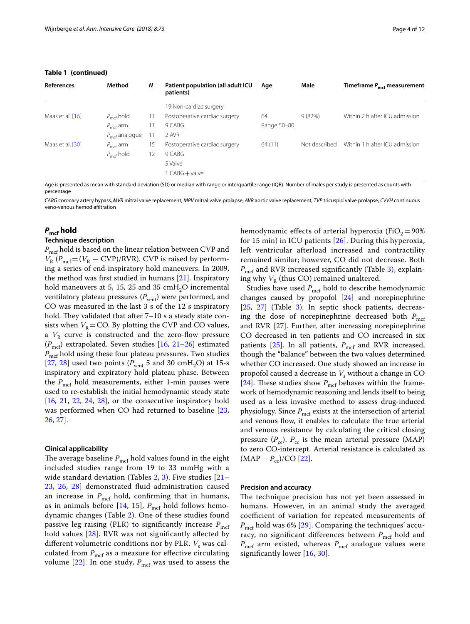| <b>References</b> | Method                    | N                 | Patient population (all adult ICU<br>patients) | Age         | Male          | Timeframe P <sub>mef</sub> measurement |
|-------------------|---------------------------|-------------------|------------------------------------------------|-------------|---------------|----------------------------------------|
|                   |                           |                   | 19 Non-cardiac surgery                         |             |               |                                        |
| Maas et al. [16]  | $P_{\text{mcf}}$ hold     | 11                | Postoperative cardiac surgery                  | 64          | 9(82%)        | Within 2 h after ICU admission         |
|                   | $P_{\text{mcf}}$ arm      | $\overline{1}$    | 9 CABG                                         | Range 50-80 |               |                                        |
|                   | $P_{\text{mcf}}$ analogue |                   | 2 AVR                                          |             |               |                                        |
| Maas et al. [30]  | $P_{\text{mcf}}$ arm      | 15                | Postoperative cardiac surgery                  | 64(11)      | Not described | Within 1 h after ICU admission         |
|                   | $P_{\text{mcf}}$ hold     | $12 \overline{ }$ | 9 CABG                                         |             |               |                                        |
|                   |                           |                   | 5 Valve                                        |             |               |                                        |
|                   |                           |                   | 1 CABG + valve                                 |             |               |                                        |

Age is presented as mean with standard deviation (SD) or median with range or interquartile range (IQR). Number of males per study is presented as counts with percentage

*CABG* coronary artery bypass, *MVR* mitral valve replacement, *MPV* mitral valve prolapse, *AVR* aortic valve replacement, *TVP* tricuspid valve prolapse, *CVVH* continuous veno-venous hemodiafltration

# *P***mcf hold**

# **Technique description**

 $P_{\text{mcf}}$  hold is based on the linear relation between CVP and  $V_R$  ( $P_{\text{mcf}} = (V_R - \text{CVP})/\text{RVR}$ ). CVP is raised by performing a series of end-inspiratory hold maneuvers. In 2009, the method was frst studied in humans [[21\]](#page-10-14). Inspiratory hold maneuvers at 5, 15, 25 and 35  $\text{cm}H_2\text{O}$  incremental ventilatory plateau pressures ( $P<sub>vent</sub>$ ) were performed, and CO was measured in the last 3 s of the 12 s inspiratory hold. They validated that after  $7-10$  s a steady state consists when  $V_R$ =CO. By plotting the CVP and CO values, a  $V_R$  curve is constructed and the zero-flow pressure  $(P_{\text{mcf}})$  extrapolated. Seven studies  $[16, 21-26]$  $[16, 21-26]$  $[16, 21-26]$  $[16, 21-26]$  $[16, 21-26]$  estimated  $P_{\text{mcf}}$  hold using these four plateau pressures. Two studies [[27,](#page-10-17) [28\]](#page-10-19) used two points  $(P_{\text{vent}} 5$  and 30 cmH<sub>2</sub>O) at 15-s inspiratory and expiratory hold plateau phase. Between the  $P_{\text{mcf}}$  hold measurements, either 1-min pauses were used to re-establish the initial hemodynamic steady state [[16,](#page-10-9) [21,](#page-10-14) [22](#page-10-16), [24](#page-10-20), [28](#page-10-19)], or the consecutive inspiratory hold was performed when CO had returned to baseline [\[23](#page-10-15), [26,](#page-10-21) [27\]](#page-10-17).

#### **Clinical applicability**

The average baseline  $P_{\text{mcf}}$  hold values found in the eight included studies range from 19 to 33 mmHg with a wide standard deviation (Tables [2,](#page-4-0) [3](#page-5-0)). Five studies [[21–](#page-10-14) [23,](#page-10-15) [26,](#page-10-21) [28\]](#page-10-19) demonstrated fuid administration caused an increase in  $P_{\text{mcf}}$  hold, confirming that in humans, as in animals before [[14,](#page-10-22) [15](#page-10-7)],  $P_{\text{mcf}}$  hold follows hemodynamic changes (Table [2](#page-4-0)). One of these studies found passive leg raising (PLR) to significantly increase  $P_{\text{mcf}}$ hold values [[28\]](#page-10-19). RVR was not significantly affected by different volumetric conditions nor by PLR. *V<sub>s</sub>* was calculated from  $P_{\text{mcf}}$  as a measure for effective circulating volume  $[22]$  $[22]$ . In one study,  $P_{\text{mcf}}$  was used to assess the

hemodynamic effects of arterial hyperoxia (FiO<sub>2</sub>=90%) for 15 min) in ICU patients [\[26\]](#page-10-21). During this hyperoxia, left ventricular afterload increased and contractility remained similar; however, CO did not decrease. Both  $P_{\text{mcf}}$  and RVR increased significantly (Table [3](#page-5-0)), explaining why  $V_R$  (thus CO) remained unaltered.

Studies have used  $P_{\text{mcf}}$  hold to describe hemodynamic changes caused by propofol [[24](#page-10-20)] and norepinephrine [[25,](#page-10-18) [27](#page-10-17)] (Table [3\)](#page-5-0). In septic shock patients, decreasing the dose of norepinephrine decreased both  $P_{\text{mcf}}$ and RVR [\[27\]](#page-10-17). Further, after increasing norepinephrine CO decreased in ten patients and CO increased in six patients  $[25]$  $[25]$ . In all patients,  $P_{\text{mcf}}$  and RVR increased, though the "balance" between the two values determined whether CO increased. One study showed an increase in propofol caused a decrease in  $V_s$  without a change in CO [[24\]](#page-10-20). These studies show  $P_{\text{mcf}}$  behaves within the framework of hemodynamic reasoning and lends itself to being used as a less invasive method to assess drug-induced physiology. Since  $P_{\text{mcf}}$  exists at the intersection of arterial and venous flow, it enables to calculate the true arterial and venous resistance by calculating the critical closing pressure  $(P_{cc})$ .  $P_{cc}$  is the mean arterial pressure (MAP) to zero CO-intercept. Arterial resistance is calculated as  $(MAP - P_{cc})/CO$  [[22](#page-10-16)].

#### **Precision and accuracy**

The technique precision has not yet been assessed in humans. However, in an animal study the averaged coefficient of variation for repeated measurements of  $P_{\text{mcf}}$  hold was 6% [\[29](#page-10-23)]. Comparing the techniques' accuracy, no significant differences between  $P_{\text{mcf}}$  hold and  $P_{\text{mcf}}$  arm existed, whereas  $P_{\text{mcf}}$  analogue values were signifcantly lower [\[16,](#page-10-9) [30](#page-10-24)].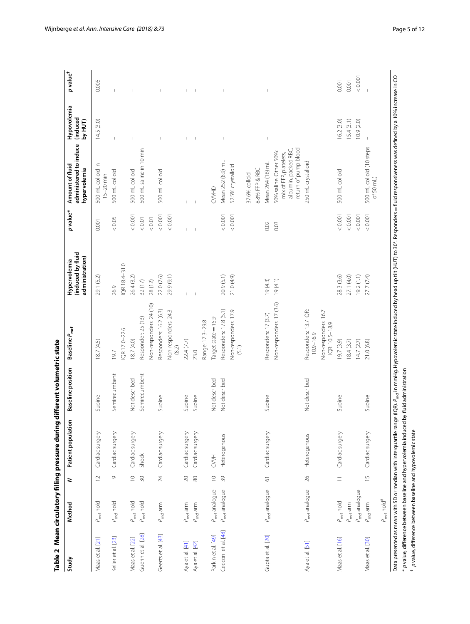<span id="page-4-0"></span>

| i |  |
|---|--|
|   |  |
|   |  |
|   |  |
|   |  |
|   |  |
|   |  |
|   |  |
|   |  |
|   |  |
|   |  |
|   |  |
|   |  |
|   |  |
|   |  |
|   |  |
|   |  |
|   |  |
|   |  |
|   |  |
|   |  |
|   |  |
|   |  |
| i |  |
|   |  |
|   |  |
|   |  |
|   |  |
|   |  |
|   |  |
|   |  |
|   |  |
|   |  |
|   |  |
|   |  |
|   |  |
|   |  |
|   |  |
|   |  |
|   |  |
|   |  |
|   |  |
|   |  |
|   |  |
|   |  |

| Study               | Method                             | 2                  | $\epsilon$<br>Patient population | <b>Baseline position</b> | Baseline P <sub>mcf</sub>              | (induced by fluid<br>administration)<br>Hypervolemia | p value* | administered to induce<br>Amount of fluid<br>hypervolemia                                        | Hypovolemia<br><i><b>induced</b></i><br>by HUT) | $p$ value <sup>†</sup>   |
|---------------------|------------------------------------|--------------------|----------------------------------|--------------------------|----------------------------------------|------------------------------------------------------|----------|--------------------------------------------------------------------------------------------------|-------------------------------------------------|--------------------------|
| Maas et al. [21]    | $P_{\text{mcf}}$ hold              | $\overline{c}$     | Cardiac surgery                  | Supine                   | 18.7 (4.5)                             | 29.1 (5.2)                                           | 0.001    | 500 mL colloid in<br>$15-20$ min                                                                 | 14.5(3.0)                                       | 0.005                    |
| Keller et al. [23]  | $P_{\text{mcf}}$ hold              | Ò                  | Cardiac surgery                  | Semirecumbent            | 19.7                                   | 26.9                                                 | $<0.05$  | 500 mL colloid                                                                                   | $\mathbf{I}$                                    | I.                       |
|                     |                                    |                    |                                  |                          | QR 17.0-22.6                           | IQR 18.4-31.0                                        |          |                                                                                                  |                                                 |                          |
| Maas et al. [22]    | $P_{\text{mcf}}$ hold              | $\supseteq$        | Cardiac surgery                  | Not described            | 18.7(4.0)                              | 26.4 (3.2)                                           | 0.001    | 500 mL colloid                                                                                   |                                                 |                          |
| Guerin et al. [28]  | $P_{\text{mod}}$ hold              | $\approx$          | Shock                            | Semirecumbent            | Responder: 25 (13)                     | 32(17)                                               | $< 0.01$ | 500 mL saline in 10 min                                                                          |                                                 |                          |
|                     |                                    |                    |                                  |                          | Non-responders: 24 (10)                | 28 (12)                                              | $<0.01$  |                                                                                                  |                                                 |                          |
| Geets et al. [43]   | $P_{\text{mcf}}$ arm               | $\geq$             | Cardiac surgery                  | Supine                   | Responders: 16.2 (6.3)                 | 22.0 (7.6)                                           | < 0.001  | 500 mL colloid                                                                                   |                                                 |                          |
|                     |                                    |                    |                                  |                          | Non-responders: 24.3<br>$(8.2)$        | 29.9 (9.1)                                           | < 0.001  |                                                                                                  |                                                 |                          |
| Aya et al. [41]     | $P_{\text{mcf}}$ arm               | $\gtrsim$          | Cardiac surgery                  | Supine                   | 22.4 (7.7)                             |                                                      |          |                                                                                                  |                                                 | $\mathbf{I}$             |
| Aya et al. [42]     | $P_{\text{mcf}}$ arm               | $\otimes$          | Cardiac surgery                  | Supine                   | 23.0                                   |                                                      |          |                                                                                                  | $\overline{1}$                                  | $\overline{\phantom{a}}$ |
|                     |                                    |                    |                                  |                          | Range: 17.3-29.8                       |                                                      |          |                                                                                                  |                                                 |                          |
| Parkin et al. [49]  | $P_{\text{mcf}}$ analogue          | $\supseteq$        | <b>HVA</b>                       | Not described            | Target state = 15.9                    | f,                                                   |          | CVVHD                                                                                            | $\mathbf{I}$                                    | $\mathsf I$              |
| Cecconi et al. [48] | P <sub>md</sub> analogue           | 39                 | Heterogenous                     | Not described            | Responders: 17.8 (5.1)                 | 20.9 (5.1)                                           | < 0.001  | Mean 252 (8.9) mL                                                                                | $\overline{\phantom{a}}$                        | $\overline{\phantom{0}}$ |
|                     |                                    |                    |                                  |                          | Non-responders: 17.9<br>(5.1)          | 21.0 (4.9)                                           | 10000    | 52.5% crystalloid                                                                                |                                                 |                          |
|                     |                                    |                    |                                  |                          |                                        |                                                      |          | 37.6% colloid                                                                                    |                                                 |                          |
|                     |                                    |                    |                                  |                          |                                        |                                                      |          | 8.8% FFP & RBC                                                                                   |                                                 |                          |
| Gupta et al. [20]   | P <sub>mcf</sub> analogue          | $\overline{\circ}$ | Cardiac surgery                  | Supine                   | Responders: 17 (3.7)                   | 19(4.3)                                              | 0.02     | Mean 264 (16) mL                                                                                 | $\mathbf{I}$                                    |                          |
|                     |                                    |                    |                                  |                          | Non-responders: 17 (3.6)               | 19(4.1)                                              | 0.03     | return of pump blood<br>albumin, packed RBC,<br>50% saline. Other 50%:<br>mix of FFP, platelets, |                                                 |                          |
| Aya et al. [51]     | P <sub>mcf</sub> analogue          | $\beta$            | Heterogenous                     | Not described            | Responders: 13.7 IQR:<br>$10.9 - 16.9$ |                                                      |          | 250 mL crystalloid                                                                               |                                                 |                          |
|                     |                                    |                    |                                  |                          | Non-responders: 16.7<br>IQR: 10.5-18.9 |                                                      |          |                                                                                                  |                                                 |                          |
| Maas et al. [16]    | $P_{\text{mod}}$ hold              | $\equiv$           | Cardiac surgery                  | Supine                   | 19.7 (3.9)                             | 28.3 (3.6)                                           | < 0.001  | 500 mL colloid                                                                                   | 16.2(3.0)                                       | 0.001                    |
|                     | $P_{\text{mcf}}$ arm               |                    |                                  |                          | 18.4(3.7)                              | 27.1 (4.0)                                           | 0.001    |                                                                                                  | 15.4(3.1)                                       | 0.001                    |
|                     | P <sub>md</sub> analogue           |                    |                                  |                          | 14.7(2.7)                              | 19.2(1.1)                                            | < 0.001  |                                                                                                  | 10.9(2.0)                                       | $<0.001$                 |
| Maas et al. [30]    | $P_{\text{mcf}}$ arm               | $\overline{1}$     | Cardiac surgery                  | Supine                   | 21.0 (6.8)                             | 27.7 (7.4)                                           | < 0.001  | 500 mL colloid (10 steps<br>of 50 $mL$ )                                                         |                                                 |                          |
|                     | $P_{\text{mcf}}$ hold <sup>#</sup> |                    |                                  |                          |                                        |                                                      |          |                                                                                                  |                                                 |                          |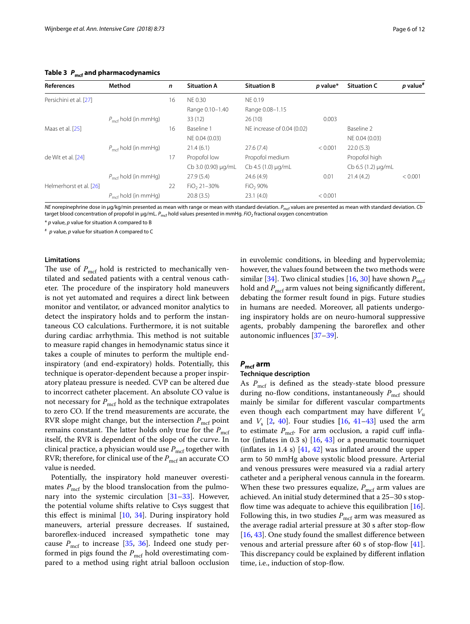<span id="page-5-0"></span>**Table 3** *P***mcf and pharmacodynamics**

| <b>References</b>       | Method                          | $\mathsf{n}$ | <b>Situation A</b>  | <b>Situation B</b>         | p value* | <b>Situation C</b>      | $p$ value <sup>#</sup> |
|-------------------------|---------------------------------|--------------|---------------------|----------------------------|----------|-------------------------|------------------------|
| Persichini et al. [27]  |                                 | 16           | <b>NE 0.30</b>      | NE 0.19                    |          |                         |                        |
|                         |                                 |              | Range 0.10-1.40     | Range 0.08-1.15            |          |                         |                        |
|                         | $P_{\text{mcf}}$ hold (in mmHg) |              | 33(12)              | 26(10)                     | 0.003    |                         |                        |
| Maas et al. [25]        |                                 | 16           | Baseline 1          | NE increase of 0.04 (0.02) |          | Baseline 2              |                        |
|                         |                                 |              | NE 0.04 (0.03)      |                            |          | NE 0.04 (0.03)          |                        |
|                         | $P_{\text{mcf}}$ hold (in mmHg) |              | 21.4(6.1)           | 27.6(7.4)                  | < 0.001  | 22.0(5.3)               |                        |
| de Wit et al. [24]      |                                 | 17           | Propofol low        | Propofol medium            |          | Propofol high           |                        |
|                         |                                 |              | Cb 3.0 (0.90) µg/mL | Cb 4.5 (1.0) µg/mL         |          | $Cb 6.5 (1.2) \mu q/mL$ |                        |
|                         | $P_{\text{mcf}}$ hold (in mmHg) |              | 27.9(5.4)           | 24.6(4.9)                  | 0.01     | 21.4(4.2)               | < 0.001                |
| Helmerhorst et al. [26] |                                 | 22           | $FiO2 21-30%$       | $FiO2$ 90%                 |          |                         |                        |
|                         | $P_{\text{mcf}}$ hold (in mmHg) |              | 20.8(3.5)           | 23.1(4.0)                  | < 0.001  |                         |                        |

*NE* norepinephrine dose in μg/kg/min presented as mean with range or mean with standard deviation. *P<sub>mcf</sub>* values are presented as mean with standard deviation. *Cb* target blood concentration of propofol in μg/mL. *P<sub>mcf</sub>* hold values presented in mmHg. *FiO<sub>2</sub>* fractional oxygen concentration

\* *p* value, *p* value for situation A compared to B

# *p* value, *p* value for situation A compared to C

## **Limitations**

The use of  $P_{\text{mcf}}$  hold is restricted to mechanically ventilated and sedated patients with a central venous catheter. The procedure of the inspiratory hold maneuvers is not yet automated and requires a direct link between monitor and ventilator, or advanced monitor analytics to detect the inspiratory holds and to perform the instantaneous CO calculations. Furthermore, it is not suitable during cardiac arrhythmia. This method is not suitable to measure rapid changes in hemodynamic status since it takes a couple of minutes to perform the multiple endinspiratory (and end-expiratory) holds. Potentially, this technique is operator-dependent because a proper inspiratory plateau pressure is needed. CVP can be altered due to incorrect catheter placement. An absolute CO value is not necessary for  $P_{\text{mcf}}$  hold as the technique extrapolates to zero CO. If the trend measurements are accurate, the RVR slope might change, but the intersection  $P_{\text{mcf}}$  point remains constant. The latter holds only true for the  $P_{\text{mcf}}$ itself, the RVR is dependent of the slope of the curve. In clinical practice, a physician would use  $P_{\text{mcf}}$  together with RVR; therefore, for clinical use of the  $P_{\text{mcf}}$  an accurate CO value is needed.

Potentially, the inspiratory hold maneuver overestimates  $P_{\text{mcf}}$  by the blood translocation from the pulmonary into the systemic circulation [\[31](#page-10-25)[–33\]](#page-10-26). However, the potential volume shifts relative to Csys suggest that this efect is minimal [\[10](#page-10-6), [34](#page-10-27)]. During inspiratory hold maneuvers, arterial pressure decreases. If sustained, barorefex-induced increased sympathetic tone may cause  $P_{\text{mcf}}$  to increase [[35](#page-10-28), [36\]](#page-10-29). Indeed one study performed in pigs found the  $P_{\text{mcf}}$  hold overestimating compared to a method using right atrial balloon occlusion

in euvolemic conditions, in bleeding and hypervolemia; however, the values found between the two methods were similar [\[34](#page-10-27)]. Two clinical studies [[16,](#page-10-9) [30](#page-10-24)] have shown  $P_{\text{mcf}}$ hold and  $P_{\text{mcf}}$  arm values not being significantly different, debating the former result found in pigs. Future studies in humans are needed. Moreover, all patients undergoing inspiratory holds are on neuro-humoral suppressive agents, probably dampening the baroreflex and other autonomic infuences [[37–](#page-10-30)[39](#page-10-31)].

# *P***mcf arm**

# **Technique description**

As  $P_{\text{mcf}}$  is defined as the steady-state blood pressure during no-flow conditions, instantaneously  $P_{\text{mcf}}$  should mainly be similar for diferent vascular compartments even though each compartment may have different  $V_{\text{u}}$ and  $V_s$  [\[2,](#page-10-32) [40](#page-11-6)]. Four studies  $[16, 41-43]$  $[16, 41-43]$  $[16, 41-43]$  $[16, 41-43]$  used the arm to estimate  $P_{\text{mcf}}$ . For arm occlusion, a rapid cuff inflator (inflates in 0.3 s)  $[16, 43]$  $[16, 43]$  $[16, 43]$  $[16, 43]$  or a pneumatic tourniquet (inflates in 1.4 s)  $[41, 42]$  $[41, 42]$  $[41, 42]$  $[41, 42]$  $[41, 42]$  was inflated around the upper arm to 50 mmHg above systolic blood pressure. Arterial and venous pressures were measured via a radial artery catheter and a peripheral venous cannula in the forearm. When these two pressures equalize,  $P_{\text{mcf}}$  arm values are achieved. An initial study determined that a 25–30 s stopflow time was adequate to achieve this equilibration  $[16]$  $[16]$ . Following this, in two studies  $P_{\text{mcf}}$  arm was measured as the average radial arterial pressure at 30 s after stop-fow [[16,](#page-10-9) [43](#page-11-0)]. One study found the smallest difference between venous and arterial pressure after 60 s of stop-fow [\[41](#page-11-1)]. This discrepancy could be explained by different inflation time, i.e., induction of stop-flow.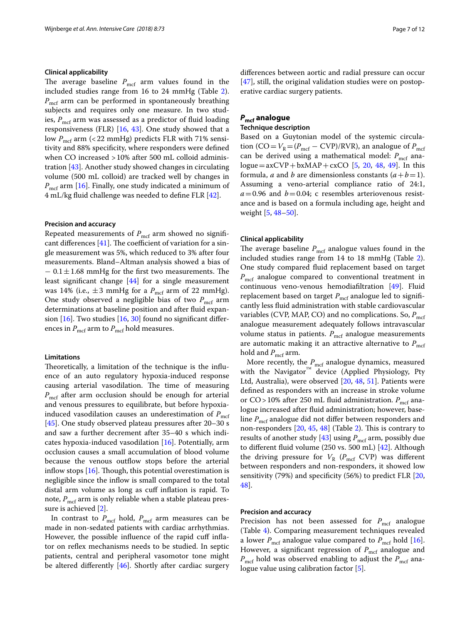# **Clinical applicability**

The average baseline  $P_{\text{mcf}}$  arm values found in the included studies range from 16 to 24 mmHg (Table [2](#page-4-0)).  $P_{\text{mcf}}$  arm can be performed in spontaneously breathing subjects and requires only one measure. In two studies,  $P_{\text{mcf}}$  arm was assessed as a predictor of fluid loading responsiveness (FLR) [\[16,](#page-10-9) [43](#page-11-0)]. One study showed that a low  $P_{\text{mcf}}$  arm (<22 mmHg) predicts FLR with 71% sensitivity and 88% specifcity, where responders were defned when CO increased >10% after 500 mL colloid administration [[43\]](#page-11-0). Another study showed changes in circulating volume (500 mL colloid) are tracked well by changes in *P*<sub>mcf</sub> arm [[16](#page-10-9)]. Finally, one study indicated a minimum of 4 mL/kg fuid challenge was needed to defne FLR [[42\]](#page-11-2).

#### **Precision and accuracy**

Repeated measurements of  $P_{\text{mcf}}$  arm showed no significant differences  $[41]$ . The coefficient of variation for a single measurement was 5%, which reduced to 3% after four measurements. Bland–Altman analysis showed a bias of  $-0.1 \pm 1.68$  mmHg for the first two measurements. The least signifcant change [\[44](#page-11-7)] for a single measurement was 14% (i.e.,  $\pm$ 3 mmHg for a  $P_{\text{mcf}}$  arm of 22 mmHg). One study observed a negligible bias of two *P*<sub>mcf</sub> arm determinations at baseline position and after fuid expansion  $[16]$  $[16]$ . Two studies  $[16, 30]$  $[16, 30]$  found no significant differences in  $P_{\text{mcf}}$  arm to  $P_{\text{mcf}}$  hold measures.

# **Limitations**

Theoretically, a limitation of the technique is the influence of an auto regulatory hypoxia-induced response causing arterial vasodilation. The time of measuring  $P_{\text{mcf}}$  after arm occlusion should be enough for arterial and venous pressures to equilibrate, but before hypoxiainduced vasodilation causes an underestimation of  $P_{\text{mcf}}$ [[45\]](#page-11-8). One study observed plateau pressures after 20–30 s and saw a further decrement after 35–40 s which indicates hypoxia-induced vasodilation [[16](#page-10-9)]. Potentially, arm occlusion causes a small accumulation of blood volume because the venous outflow stops before the arterial inflow stops  $[16]$  $[16]$ . Though, this potential overestimation is negligible since the infow is small compared to the total distal arm volume as long as cuf infation is rapid. To note,  $P_{\text{mcf}}$  arm is only reliable when a stable plateau pressure is achieved [\[2](#page-10-32)].

In contrast to  $P_{\text{mcf}}$  hold,  $P_{\text{mcf}}$  arm measures can be made in non-sedated patients with cardiac arrhythmias. However, the possible influence of the rapid cuff inflator on refex mechanisms needs to be studied. In septic patients, central and peripheral vasomotor tone might be altered diferently [\[46](#page-11-9)]. Shortly after cardiac surgery diferences between aortic and radial pressure can occur [[47\]](#page-11-10), still, the original validation studies were on postoperative cardiac surgery patients.

# *P***mcf analogue**

#### **Technique description**

Based on a Guytonian model of the systemic circulation (CO= $V_R = (P_{\text{mcf}} - \text{CVP})/\text{RVR}$ ), an analogue of  $P_{\text{mcf}}$ can be derived using a mathematical model:  $P_{\text{mcf}}$  analogue=axCVP+bxMAP+cxCO  $[5, 20, 48, 49]$  $[5, 20, 48, 49]$  $[5, 20, 48, 49]$  $[5, 20, 48, 49]$  $[5, 20, 48, 49]$  $[5, 20, 48, 49]$  $[5, 20, 48, 49]$ . In this formula, *a* and *b* are dimensionless constants  $(a + b = 1)$ . Assuming a veno-arterial compliance ratio of 24:1,  $a=0.96$  and  $b=0.04$ ; c resembles arteriovenous resistance and is based on a formula including age, height and weight [[5](#page-10-1), [48–](#page-11-4)[50\]](#page-11-11).

#### **Clinical applicability**

The average baseline  $P_{\text{mcf}}$  analogue values found in the included studies range from 14 to 18 mmHg (Table [2](#page-4-0)). One study compared fuid replacement based on target  $P_{\text{mcf}}$  analogue compared to conventional treatment in continuous veno-venous hemodiafltration [\[49\]](#page-11-3). Fluid replacement based on target  $P_{\text{mcf}}$  analogue led to significantly less fuid administration with stable cardiovascular variables (CVP, MAP, CO) and no complications. So,  $P_{\text{mcf}}$ analogue measurement adequately follows intravascular volume status in patients.  $P_{\text{mcf}}$  analogue measurements are automatic making it an attractive alternative to  $P_{\text{mcf}}$ hold and  $P_{\text{mcf}}$  arm.

More recently, the  $P_{\text{mcf}}$  analogue dynamics, measured with the Navigator<sup>™</sup> device (Applied Physiology, Pty Ltd, Australia), were observed [\[20,](#page-10-13) [48,](#page-11-4) [51\]](#page-11-5). Patients were defned as responders with an increase in stroke volume or  $CO$  > 10% after 250 mL fluid administration.  $P_{\text{mcf}}$  analogue increased after fuid administration; however, baseline *P<sub>mcf</sub>* analogue did not differ between responders and non-responders  $[20, 45, 48]$  $[20, 45, 48]$  $[20, 45, 48]$  $[20, 45, 48]$  $[20, 45, 48]$  $[20, 45, 48]$  $[20, 45, 48]$  (Table [2\)](#page-4-0). This is contrary to results of another study [\[43](#page-11-0)] using  $P_{\text{mcf}}$  arm, possibly due to diferent fuid volume (250 vs. 500 mL) [[42\]](#page-11-2). Although the driving pressure for  $V_R$  ( $P_{\text{mcf}}$  CVP) was different between responders and non-responders, it showed low sensitivity (79%) and specifcity (56%) to predict FLR [[20](#page-10-13), [48\]](#page-11-4).

# **Precision and accuracy**

Precision has not been assessed for  $P_{\text{mcf}}$  analogue (Table [4\)](#page-7-0). Comparing measurement techniques revealed a lower  $P_{\text{mcf}}$  analogue value compared to  $P_{\text{mcf}}$  hold [\[16](#page-10-9)]. However, a significant regression of  $P_{\text{mcf}}$  analogue and *P*<sub>mcf</sub> hold was observed enabling to adjust the *P*<sub>mcf</sub> analogue value using calibration factor [\[5](#page-10-1)].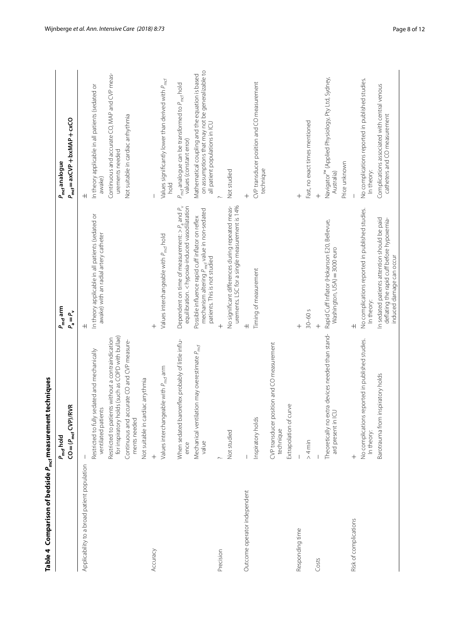<span id="page-7-0"></span>

| Table 4 $\,$ Comparison of bedside $P_{\rm mcf}$ measurement techniques |                                                                                                       |                                                                                                                                               |                                                                                                                                      |
|-------------------------------------------------------------------------|-------------------------------------------------------------------------------------------------------|-----------------------------------------------------------------------------------------------------------------------------------------------|--------------------------------------------------------------------------------------------------------------------------------------|
|                                                                         | $CO = (P_{\text{mcf}}$ $CVP)/RVR$<br>P <sub>mef</sub> hold                                            | P <sub>mcf</sub> arm<br>$P_a = P_v$                                                                                                           | $P_{\text{mcf}} = axCVP + bxMAP + cxCO$<br>P <sub>mcf</sub> analogue                                                                 |
| Applicability to a broad patient population                             |                                                                                                       | $\overline{+}$                                                                                                                                | $\overline{+}$                                                                                                                       |
|                                                                         | lly sedated and mechanically<br>ventilated patients<br>Restricted to ful                              | In theory applicable in all patients (sedated or<br>awake) with an radial artery catheter                                                     | In theory applicable in all patients (sedated or<br>awake)                                                                           |
|                                                                         | for inspiratory holds (such as COPD with bullae)<br>Restricted to patients without a contraindication |                                                                                                                                               | Continuous and accurate CO, MAP and CVP meas-<br>urements needed                                                                     |
|                                                                         | Continuous and accurate CO and CVP measure-<br>ments needed                                           |                                                                                                                                               | Not suitable in cardiac arrhythmia                                                                                                   |
|                                                                         | Not suitable in cardiac arrythmia                                                                     |                                                                                                                                               |                                                                                                                                      |
| Accuracy                                                                |                                                                                                       |                                                                                                                                               |                                                                                                                                      |
|                                                                         | Values interchangeable with P <sub>mcf</sub> arm                                                      | Values interchangeable with P <sub>mcf</sub> hold                                                                                             | Values significantly lower than derived with P <sub>md</sub><br>hold                                                                 |
|                                                                         | baroreflex probably of little influ-<br>When sedated<br>ence                                          | equilibration. < hypoxia-induced vasodilatation<br>Dependent on time of measurement: $> P_a$ and $P_v$                                        | P <sub>mef</sub> analogue can be transformed to P <sub>mef</sub> hold<br>values (constant error)                                     |
|                                                                         | Mechanical ventilation may overestimate P <sub>mcf</sub><br>value                                     | mechanism altering P <sub>mcf</sub> value in non-sedated<br>Possible influence rapid cuff inflator on reflex<br>patients. This is not studied | on assumptions that may not be generalizable to<br>Mathematical coupling and the equation is based<br>all patient populations in ICU |
| Precision                                                               |                                                                                                       |                                                                                                                                               |                                                                                                                                      |
|                                                                         | Not studied                                                                                           | No significant differences during repeated meas-<br>urements. LSC for a single measurement is 14%                                             | Not studied                                                                                                                          |
| Outcome operator independent                                            |                                                                                                       | $\pm$                                                                                                                                         |                                                                                                                                      |
|                                                                         | $\mathcal{S}$<br>Inspiratory hold                                                                     | Timing of measurement                                                                                                                         | CVP transducer position and CO measurement<br>technique                                                                              |
|                                                                         | position and CO measurement<br>CVP transducer<br>technique                                            |                                                                                                                                               |                                                                                                                                      |
|                                                                         | curve<br>Extrapolation of                                                                             |                                                                                                                                               |                                                                                                                                      |
| Responding time                                                         |                                                                                                       | $\ddag$                                                                                                                                       | $\overline{+}$                                                                                                                       |
|                                                                         | $> 4$ min                                                                                             | $30 - 60$ s                                                                                                                                   | Fast, no exact times mentioned                                                                                                       |
| Costs                                                                   |                                                                                                       |                                                                                                                                               | $^{+}$                                                                                                                               |
|                                                                         | extra devices needed than stand-<br>$\supseteq$<br>Theoretically no<br>ard present in                 | Rapid Cuff Inflator (Hokanson E20, Bellevue,<br>Washington, USA) = 3000 euro                                                                  | Navigator <sup>™</sup> (Applied Physiology, Pty Ltd, Sydney,<br>Australia)                                                           |
|                                                                         |                                                                                                       |                                                                                                                                               | Price unknown                                                                                                                        |
| Risk of complications                                                   | $^{+}$                                                                                                | $\overline{+}$                                                                                                                                |                                                                                                                                      |
|                                                                         | No complications reported in published studies.<br>In theory:                                         | No complications reported in published studies.<br>In theory:                                                                                 | No complications reported in published studies.<br>In theory:                                                                        |
|                                                                         | Barotrauma from inspiratory holds                                                                     | In sedated patients attention should be paid<br>deflating the rapid cuff before hypoxemia-<br>induced damage can occur                        | Complications associated with central venous<br>catheters and CO measurement                                                         |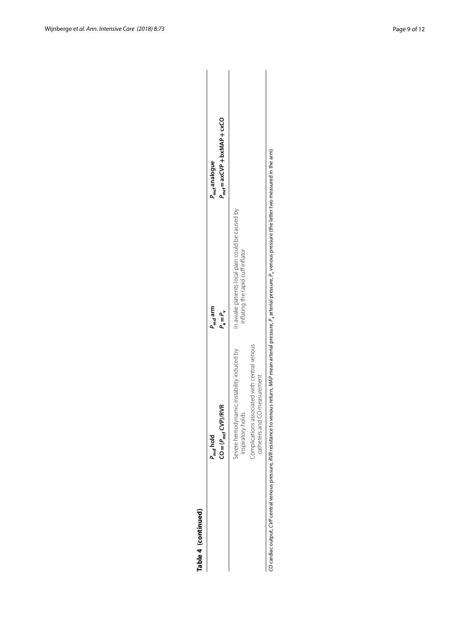| í |
|---|
|   |
|   |
| ٠ |
|   |

| Table 4 (continued) |                                                                                                                                                                                            |                                                                                      |                                                                      |
|---------------------|--------------------------------------------------------------------------------------------------------------------------------------------------------------------------------------------|--------------------------------------------------------------------------------------|----------------------------------------------------------------------|
|                     | $\mathsf{C}\mathsf{O} = (P_{\mathsf{mcf}}\mathsf{C}\mathsf{V}\mathsf{P})/\mathsf{RV}\mathsf{R}$<br>P <sub>mrf</sub> hold                                                                   | P <sub>mcf</sub> arm<br>$P_{\alpha} = P_{\alpha}$                                    | $P_{\text{mcf}} = axCVP + bxMAP + cxCO$<br>P <sub>mcf</sub> analogue |
|                     |                                                                                                                                                                                            |                                                                                      |                                                                      |
|                     | Severe hemodynamic instability induced by<br>inspiratory holds                                                                                                                             | In awake patients local pain could be caused by<br>inflating the rapid cuff inflator |                                                                      |
|                     | associated with central venous<br>Complications                                                                                                                                            |                                                                                      |                                                                      |
|                     | catheters and CO measurement                                                                                                                                                               |                                                                                      |                                                                      |
|                     | ZO cardiac output, CVP central venous pressure, RVR resistance to venous return, MAP mean arterial pressure, P, arterial pressure, P, venous pressure (the latter two measured in the arm) |                                                                                      |                                                                      |

CO cardiac output, CVP central venous pressure, RVR resistance to venous return, MAP mean arterial pressure,  $P_a$  arterial pressure,  $P_v$  venous pressure (the latter two measured in the arm)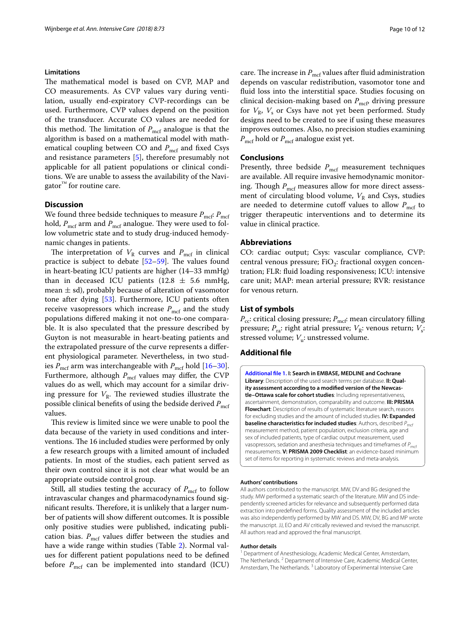#### **Limitations**

The mathematical model is based on CVP, MAP and CO measurements. As CVP values vary during ventilation, usually end-expiratory CVP-recordings can be used. Furthermore, CVP values depend on the position of the transducer. Accurate CO values are needed for this method. The limitation of *P<sub>mcf</sub>* analogue is that the algorithm is based on a mathematical model with mathematical coupling between CO and *P<sub>mcf</sub>* and fixed Csys and resistance parameters [[5](#page-10-1)], therefore presumably not applicable for all patient populations or clinical conditions. We are unable to assess the availability of the Navi $gator^{\mathbb{M}}$  for routine care.

# **Discussion**

We found three bedside techniques to measure  $P_{\text{mcf}}$ :  $P_{\text{mcf}}$ hold,  $P_{\text{mcf}}$  arm and  $P_{\text{mcf}}$  analogue. They were used to follow volumetric state and to study drug-induced hemodynamic changes in patients.

The interpretation of  $V_R$  curves and  $P_{\text{mcf}}$  in clinical practice is subject to debate  $[52-59]$  $[52-59]$ . The values found in heart-beating ICU patients are higher (14–33 mmHg) than in deceased ICU patients (12.8  $\pm$  5.6 mmHg, mean  $\pm$  sd), probably because of alteration of vasomotor tone after dying [\[53](#page-11-14)]. Furthermore, ICU patients often receive vasopressors which increase  $P_{\text{mcf}}$  and the study populations difered making it not one-to-one comparable. It is also speculated that the pressure described by Guyton is not measurable in heart-beating patients and the extrapolated pressure of the curve represents a diferent physiological parameter. Nevertheless, in two studies  $P_{\text{mcf}}$  arm was interchangeable with  $P_{\text{mcf}}$  hold [[16](#page-10-9)[–30](#page-10-24)]. Furthermore, although  $P_{\text{mcf}}$  values may differ, the CVP values do as well, which may account for a similar driving pressure for  $V_R$ . The reviewed studies illustrate the possible clinical benefits of using the bedside derived  $P_{\rm mcf}$ values.

This review is limited since we were unable to pool the data because of the variety in used conditions and interventions. The 16 included studies were performed by only a few research groups with a limited amount of included patients. In most of the studies, each patient served as their own control since it is not clear what would be an appropriate outside control group.

Still, all studies testing the accuracy of  $P_{\text{mcf}}$  to follow intravascular changes and pharmacodynamics found significant results. Therefore, it is unlikely that a larger number of patients will show diferent outcomes. It is possible only positive studies were published, indicating publication bias.  $P_{\text{mcf}}$  values differ between the studies and have a wide range within studies (Table [2](#page-4-0)). Normal values for diferent patient populations need to be defned before  $P_{\text{mcf}}$  can be implemented into standard (ICU) care. The increase in  $P_{\text{mcf}}$  values after fluid administration depends on vascular redistribution, vasomotor tone and fuid loss into the interstitial space. Studies focusing on clinical decision-making based on  $P_{\text{mcf}}$ , driving pressure for  $V_R$ ,  $V_s$  or Csys have not yet been performed. Study designs need to be created to see if using these measures improves outcomes. Also, no precision studies examining *P*<sub>mcf</sub> hold or *P*<sub>mcf</sub> analogue exist yet.

# **Conclusions**

Presently, three bedside  $P_{\text{mcf}}$  measurement techniques are available. All require invasive hemodynamic monitoring. Though  $P_{\text{mcf}}$  measures allow for more direct assessment of circulating blood volume,  $V_R$  and Csys, studies are needed to determine cutoff values to allow  $P_{\text{mcf}}$  to trigger therapeutic interventions and to determine its value in clinical practice.

## **Abbreviations**

CO: cardiac output; Csys: vascular compliance, CVP: central venous pressure;  $FiO<sub>2</sub>$ : fractional oxygen concentration; FLR: fuid loading responsiveness; ICU: intensive care unit; MAP: mean arterial pressure; RVR: resistance for venous return.

# **List of symbols**

*P<sub>cc</sub>*: critical closing pressure; *P<sub>mcf</sub>*: mean circulatory filling pressure;  $P_{\text{ra}}$ : right atrial pressure;  $V_{\text{R}}$ : venous return;  $V_{\text{s}}$ : stressed volume;  $V_{\rm u}$ : unstressed volume.

# **Additional fle**

<span id="page-9-0"></span>**[Additional fle 1.](http://doi.org/10.1186/s13613-018-0418-2) I: Search in EMBASE, MEDLINE and Cochrane Library**: Description of the used search terms per database. **II: Quality assessment according to a modifed version of the Newcastle–Ottawa scale for cohort studies**: Including representativeness, ascertainment, demonstration, comparability and outcome. **III: PRISMA Flowchart**: Description of results of systematic literature search, reasons for excluding studies and the amount of included studies. **IV: Expanded baseline characteristics for included studies**: Authors, described  $P_{\text{mcf}}$ measurement method, patient population, exclusion criteria, age and sex of included patients, type of cardiac output measurement, used vasopressors, sedation and anesthesia techniques and timeframes of  $P_{\text{net}}$ measurements. **V: PRISMA 2009 Checklist**: an evidence-based minimum set of items for reporting in systematic reviews and meta-analysis.

#### **Authors' contributions**

All authors contributed to the manuscript. MW, DV and BG designed the study. MW performed a systematic search of the literature. MW and DS independently screened articles for relevance and subsequently performed data extraction into predefned forms. Quality assessment of the included articles was also independently performed by MW and DS. MW, DV, BG and MP wrote the manuscript. JJ, EO and AV critically reviewed and revised the manuscript. All authors read and approved the fnal manuscript.

#### **Author details**

<sup>1</sup> Department of Anesthesiology, Academic Medical Center, Amsterdam, The Netherlands.<sup>2</sup> Department of Intensive Care, Academic Medical Center, Amsterdam, The Netherlands.<sup>3</sup> Laboratory of Experimental Intensive Care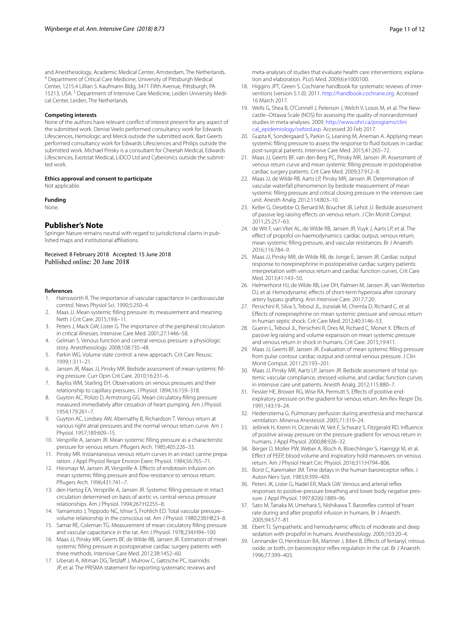and Anesthesiology, Academic Medical Center, Amsterdam, The Netherlands.<br><sup>4</sup> Department of Critical Care Medicine, University of Pittsburgh Medical Center, 1215.4 Lillian S. Kaufmann Bldg, 3471 Fifth Avenue, Pittsburgh, PA 15213, USA. <sup>5</sup> Department of Intensive Care Medicine, Leiden University Medical Center, Leiden, The Netherlands.

## **Competing interests**

None of the authors have relevant confict of interest present for any aspect of the submitted work. Denise Veelo performed consultancy work for Edwards Lifesciences, Hemologic and Merck outside the submitted work. Bart Geerts performed consultancy work for Edwards Lifesciences and Philips outside the submitted work. Michael Pinsky is a consultant for Cheetah Medical, Edwards Lifesciences, Exotstat Medical, LiDCO Ltd and Cyberonics outside the submitted work.

#### **Ethics approval and consent to participate**

Not applicable.

#### **Funding**

None.

# **Publisher's Note**

Springer Nature remains neutral with regard to jurisdictional claims in published maps and institutional affiliations.

Received: 8 February 2018 Accepted: 15 June 2018

#### **References**

- <span id="page-10-0"></span>1. Hainsworth R. The importance of vascular capacitance in cardiovascular control. News Physiol Sci. 1990;5:250–4.
- <span id="page-10-32"></span>2. Maas JJ. Mean systemic flling pressure: its measurement and meaning. Neth J Crit Care. 2015;19:6–11.
- <span id="page-10-8"></span>3. Peters J, Mack GW, Lister G. The importance of the peripheral circulation in critical illnesses. Intensive Care Med. 2001;27:1446–58.
- 4. Gelman S. Venous function and central venous pressure: a physiologic story. Anesthesiology. 2008;108:735–48.
- <span id="page-10-1"></span>5. Parkin WG. Volume state control: a new approach. Crit Care Resusc. 1999;1:311–21.
- <span id="page-10-2"></span>6. Jansen JR, Maas JJ, Pinsky MR. Bedside assessment of mean systemic flling pressure. Curr Opin Crit Care. 2010;16:231–6.
- <span id="page-10-3"></span>7. Bayliss WM, Starling EH. Observations on venous pressures and their relationship to capillary pressures. J Physiol. 1894;16:159–318.
- <span id="page-10-4"></span>8. Guyton AC, Polizo D, Armstrong GG. Mean circulatory flling pressure measured immediately after cessation of heart pumping. Am J Physiol. 1954;179:261–7.
- <span id="page-10-5"></span>9. Guyton AC, Lindsey AW, Abernathy B, Richardson T. Venous return at various right atrial pressures and the normal venous return curve. Am J Physiol. 1957;189:609–15.
- <span id="page-10-6"></span>10. Versprille A, Jansen JR. Mean systemic flling pressure as a characteristic pressure for venous return. Pfugers Arch. 1985;405:226–33.
- 11. Pinsky MR. Instantaneous venous return curves in an intact canine preparation. J Appl Physiol Respir Environ Exerc Physiol. 1984;56:765–71.
- 12. Hiesmayr M, Jansen JR, Versprille A. Effects of endotoxin infusion on mean systemic flling pressure and fow resistance to venous return. Pfugers Arch. 1996;431:741–7.
- 13. den Hartog EA, Versprille A, Jansen JR. Systemic flling pressure in intact circulation determined on basis of aortic vs. central venous pressure relationships. Am J Physiol. 1994;267:H2255–8.
- <span id="page-10-22"></span>14. Yamamoto J, Trippodo NC, Ishise S, Frohlich ED. Total vascular pressure– volume relationship in the conscious rat. Am J Physiol. 1980;238:H823–8.
- <span id="page-10-7"></span>15. Samar RE, Coleman TG. Measurement of mean circulatory flling pressure and vascular capacitance in the rat. Am J Physiol. 1978;234:H94–100.
- <span id="page-10-9"></span>16. Maas JJ, Pinsky MR, Geerts BF, de Wilde RB, Jansen JR. Estimation of mean systemic flling pressure in postoperative cardiac surgery patients with three methods. Intensive Care Med. 2012;38:1452–60.
- <span id="page-10-10"></span>17. Liberati A, Altman DG, Tetzlaff J, Mulrow C, Gøtzsche PC, Ioannidis JP, et al. The PRISMA statement for reporting systematic reviews and

meta-analyses of studies that evaluate health care interventions: explanation and elaboration. PLoS Med. 2009;6:e1000100.

- <span id="page-10-11"></span>18. Higgins JPT, Green S. Cochrane handbook for systematic reviews of interventions (version 5.1.0). 2011.<http://handbook.cochrane.org>. Accessed 16 March 2017.
- <span id="page-10-12"></span>19. Wells G, Shea B, O'Connell J, Peterson J, Welch V, Losos M, et al. The Newcastle–Ottawa Scale (NOS) for assessing the quality of nonrandomised studies in meta-analyses. 2009. [http://www.ohri.ca/programs/clini](http://www.ohri.ca/programs/clinical_epidemiology/oxford.asp) [cal\\_epidemiology/oxford.asp.](http://www.ohri.ca/programs/clinical_epidemiology/oxford.asp) Accessed 20 Feb 2017.
- <span id="page-10-13"></span>20. Gupta K, Sondergaard S, Parkin G, Leaning M, Aneman A. Applying mean systemic flling pressure to assess the response to fuid boluses in cardiac post-surgical patients. Intensive Care Med. 2015;41:265–72.
- <span id="page-10-14"></span>21. Maas JJ, Geerts BF, van den Berg PC, Pinsky MR, Jansen JR. Assessment of venous return curve and mean systemic flling pressure in postoperative cardiac surgery patients. Crit Care Med. 2009;37:912–8.
- <span id="page-10-16"></span>22. Maas JJ, de Wilde RB, Aarts LP, Pinsky MR, Jansen JR. Determination of vascular waterfall phenomenon by bedside measurement of mean systemic flling pressure and critical closing pressure in the intensive care unit. Anesth Analg. 2012;114:803–10.
- <span id="page-10-15"></span>23. Keller G, Desebbe O, Benard M, Bouchet JB, Lehot JJ. Bedside assessment of passive leg raising efects on venous return. J Clin Monit Comput. 2011;25:257–63.
- <span id="page-10-20"></span>24. de Wit F, van Vliet AL, de Wilde RB, Jansen JR, Vuyk J, Aarts LP, et al. The efect of propofol on haemodynamics: cardiac output, venous return, mean systemic flling pressure, and vascular resistances. Br J Anaesth. 2016;116:784–9.
- <span id="page-10-18"></span>25. Maas JJ, Pinsky MR, de Wilde RB, de Jonge E, Jansen JR. Cardiac output response to norepinephrine in postoperative cardiac surgery patients: interpretation with venous return and cardiac function curves. Crit Care Med. 2013;41:143–50.
- <span id="page-10-21"></span>26. Helmerhorst HJ, de Wilde RB, Lee DH, Palmen M, Jansen JR, van Westerloo DJ, et al. Hemodynamic effects of short-term hyperoxia after coronary artery bypass grafting. Ann Intensive Care. 2017;7:20.
- <span id="page-10-17"></span>27. Persichini R, Silva S, Teboul JL, Jozwiak M, Chemla D, Richard C, et al. Efects of norepinephrine on mean systemic pressure and venous return in human septic shock. Crit Care Med. 2012;40:3146–53.
- <span id="page-10-19"></span>28. Guerin L, Teboul JL, Persichini R, Dres M, Richard C, Monet X. Efects of passive leg raising and volume expansion on mean systemic pressure and venous return in shock in humans. Crit Care. 2015;19:411.
- <span id="page-10-23"></span>29. Maas JJ, Geerts BF, Jansen JR. Evaluation of mean systemic flling pressure from pulse contour cardiac output and central venous pressure. J Clin Monit Comput. 2011;25:193–201.
- <span id="page-10-24"></span>30. Maas JJ, Pinsky MR, Aarts LP, Jansen JR. Bedside assessment of total systemic vascular compliance, stressed volume, and cardiac function curves in intensive care unit patients. Anesth Analg. 2012;115:880–7.
- <span id="page-10-25"></span>31. Fessler HE, Brower RG, Wise RA, Permutt S. Efects of positive endexpiratory pressure on the gradient for venous return. Am Rev Respir Dis. 1991;143:19–24.
- 32. Hedenstierna G. Pulmonary perfusion during anesthesia and mechanical ventilation. Minerva Anestesiol. 2005;71:319–24.
- <span id="page-10-26"></span>33. Jellinek H, Krenn H, Oczenski W, Veit F, Schwarz S, Fitzgerald RD. Infuence of positive airway pressure on the pressure gradient for venous return in humans. J Appl Physiol. 2000;88:926–32.
- <span id="page-10-27"></span>34. Berger D, Moller PW, Weber A, Bloch A, Bloechlinger S, Haenggi M, et al. Efect of PEEP, blood volume and inspiratory hold maneuvers on venous return. Am J Physiol Heart Circ Physiol. 2016;311:H794–806.
- <span id="page-10-28"></span>35. Borst C, Karemaker JM. Time delays in the human baroreceptor refex. J Auton Nerv Syst. 1983;9:399–409.
- <span id="page-10-29"></span>36. Peters JK, Lister G, Nadel ER, Mack GW. Venous and arterial refex responses to positive-pressure breathing and lower body negative pressure. J Appl Physiol. 1997;82(6):1889–96.
- <span id="page-10-30"></span>37. Sato M, Tanaka M, Umehara S, Nishikawa T. Baroreflex control of heart rate during and after propofol infusion in humans. Br J Anaesth. 2005;94:577–81.
- 38. Ebert TJ. Sympathetic and hemodynamic efects of moderate and deep sedation with propofol in humans. Anesthesiology. 2005;103:20–4.
- <span id="page-10-31"></span>39. Lennander O, Henriksson BA, Martner J, Biber B. Efects of fentanyl, nitrous oxide, or both, on baroreceptor refex regulation in the cat. Br J Anaesth. 1996;77:399–403.